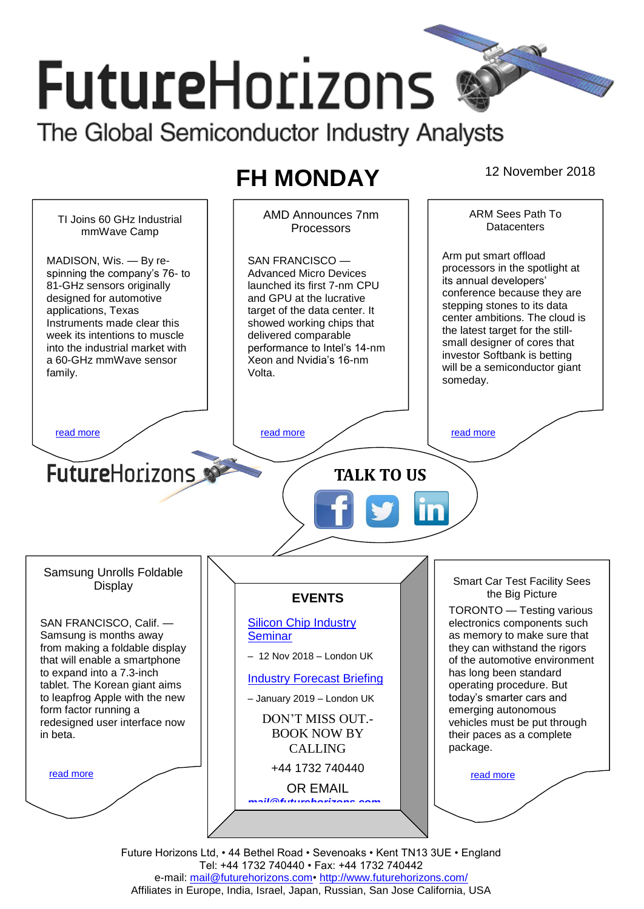# **FutureHorizons** The Global Semiconductor Industry Analysts

# **FH MONDAY** 12 November 2018



Future Horizons Ltd, • 44 Bethel Road • Sevenoaks • Kent TN13 3UE • England Tel: +44 1732 740440 • Fax: +44 1732 740442 e-mail: mail@futurehorizons.com• http://www.futurehorizons.com/ Affiliates in Europe, India, Israel, Japan, Russian, San Jose California, USA